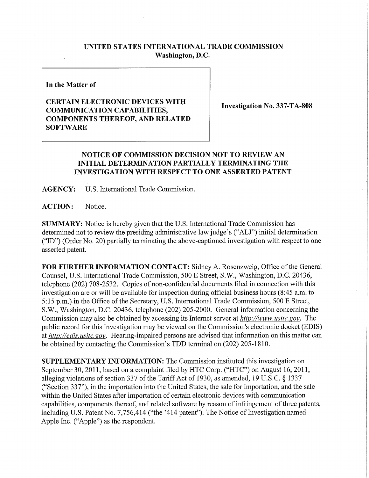## **UNITED STATES INTERNATIONAL TRADE COMMISSION Washington, D.C.**

**In the Matter of** 

## **CERTAIN ELECTRONIC DEVICES WITH COMMUNICATION CAPABILITIES, COMPONENTS THEREOF , AND RELATE D SOFTWARE**

**Investigation No. 337-TA-808** 

## **NOTICE OF COMMISSION DECISION NOT TO REVIEW AN INITIAL DETERMINATION PARTIALL Y TERMINATING THE INVESTIGATION WITH RESPECT TO ONE ASSERTED PATENT**

**AGENCY:** U.S. International Trade Commission.

**ACTION:** Notice.

**SUMMARY:** Notice is hereby given that the U.S. International Trade Commission has determined not to review the presiding administrative law judge's ("ALJ") initial determination ("ID") (Order No. 20) partially terminating the above-captioned investigation with respect to one asserted patent.

FOR FURTHER INFORMATION CONTACT: Sidney A. Rosenzweig, Office of the General Counsel, U.S. International Trade Commission, 500 E Street, S.W., Washington, D.C. 20436, telephone (202) 708-2532. Copies of non-confidential documents filed in connection with this investigation are or will be available for inspection during official business hours (8:45 a.m. to 5:15 p.m.) in the Office of the Secretary, U.S. International Trade Commission, 500 E Street, S.W., Washington, D.C. 20436, telephone (202) 205-2000. General infonnation concerning the Commission may also be obtained by accessing its Internet server at *http://www, usitc. gov.* The public record for this investigation may be viewed on the Commission's electronic docket (EDIS) at *http://edis. usitc.gov.* Hearing-impaired persons are advised that information on this matter can be obtained by contacting the Commission's TDD temiinal on (202) 205-1810.

**SUPPLEMENTARY INFORMATION:** The Commission instituted this investigation on September 30,2011, based on a complaint filed by HTC Corp. ("HTC") on August 16, 2011, alleging violations of section 337 of the Tariff Act of 1930, as amended, 19 U.S.C. § 1337 ("Section 337"), in the importation into the United States, the sale for importation, and the sale within the United States after importation of certain electronic devices with communication capabilities, components thereof, and related software by reason of infringement of three patents, including U.S. Patent No. 7,756,414 ("the '414 patent"). The Notice of Investigation named Apple Inc. ("Apple") as the respondent.